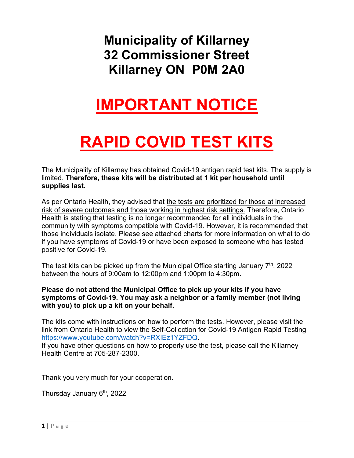## **Municipality of Killarney 32 Commissioner Street Killarney ON P0M 2A0**

## **IMPORTANT NOTICE**

# **RAPID COVID TEST KITS**

The Municipality of Killarney has obtained Covid-19 antigen rapid test kits. The supply is limited. **Therefore, these kits will be distributed at 1 kit per household until supplies last.** 

 if you have symptoms of Covid-19 or have been exposed to someone who has tested As per Ontario Health, they advised that the tests are prioritized for those at increased risk of severe outcomes and those working in highest risk settings. Therefore, Ontario Health is stating that testing is no longer recommended for all individuals in the community with symptoms compatible with Covid-19. However, it is recommended that those individuals isolate. Please see attached charts for more information on what to do positive for Covid-19.

The test kits can be picked up from the Municipal Office starting January  $7<sup>th</sup>$ , 2022 between the hours of 9:00am to 12:00pm and 1:00pm to 4:30pm.

#### **symptoms of Covid-19. You may ask a neighbor or a family member (not living Please do not attend the Municipal Office to pick up your kits if you have with you) to pick up a kit on your behalf.**

The kits come with instructions on how to perform the tests. However, please visit the link from Ontario Health to view the Self-Collection for Covid-19 Antigen Rapid Testing https://www.youtube.com/watch?v=RXIEz1YZFDQ.

If you have other questions on how to properly use the test, please call the Killarney Health Centre at 705-287-2300.

Thank you very much for your cooperation.

Thursday January 6th, 2022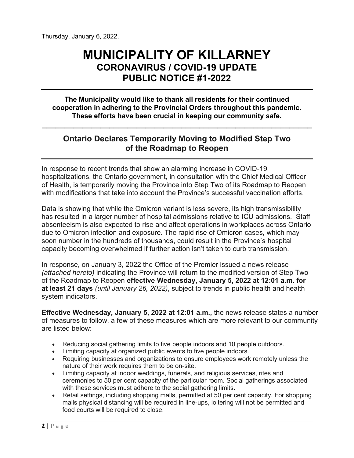### **MUNICIPALITY OF KILLARNEY CORONAVIRUS / COVID-19 UPDATE PUBLIC NOTICE #1-2022**

**The Municipality would like to thank all residents for their continued cooperation in adhering to the Provincial Orders throughout this pandemic. These efforts have been crucial in keeping our community safe.**

#### **Ontario Declares Temporarily Moving to Modified Step Two of the Roadmap to Reopen**

**\_\_\_\_\_\_\_\_\_\_\_\_\_\_\_\_\_\_\_\_\_\_\_\_\_\_\_\_\_\_\_\_\_\_\_\_\_\_\_\_\_\_\_\_\_\_\_\_\_\_\_\_\_\_\_\_\_\_\_\_** 

 of Health, is temporarily moving the Province into Step Two of its Roadmap to Reopen In response to recent trends that show an alarming increase in COVID-19 hospitalizations, the Ontario government, in consultation with the Chief Medical Officer with modifications that take into account the Province's successful vaccination efforts.

 has resulted in a larger number of hospital admissions relative to ICU admissions. Staff Data is showing that while the Omicron variant is less severe, its high transmissibility absenteeism is also expected to rise and affect operations in workplaces across Ontario due to Omicron infection and exposure. The rapid rise of Omicron cases, which may soon number in the hundreds of thousands, could result in the Province's hospital capacity becoming overwhelmed if further action isn't taken to curb transmission.

In response, on January 3, 2022 the Office of the Premier issued a news release *(attached hereto)* indicating the Province will return to the modified version of Step Two of the Roadmap to Reopen **effective Wednesday, January 5, 2022 at 12:01 a.m. for at least 21 days** *(until January 26, 2022)*, subject to trends in public health and health system indicators.

**Effective Wednesday, January 5, 2022 at 12:01 a.m.,** the news release states a number of measures to follow, a few of these measures which are more relevant to our community are listed below:

- Reducing social gathering limits to five people indoors and 10 people outdoors.
- Limiting capacity at organized public events to five people indoors.
- Requiring businesses and organizations to ensure employees work remotely unless the nature of their work requires them to be on-site.
- Limiting capacity at indoor weddings, funerals, and religious services, rites and ceremonies to 50 per cent capacity of the particular room. Social gatherings associated with these services must adhere to the social gathering limits.
- Retail settings, including shopping malls, permitted at 50 per cent capacity. For shopping malls physical distancing will be required in line-ups, loitering will not be permitted and food courts will be required to close.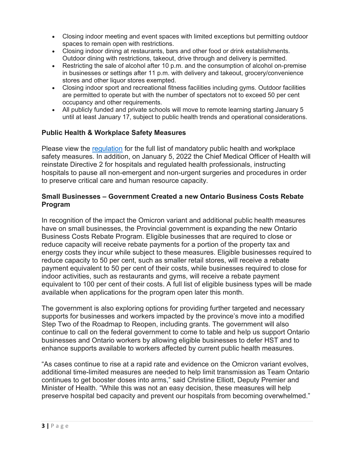- Closing indoor meeting and event spaces with limited exceptions but permitting outdoor spaces to remain open with restrictions.
- Closing indoor dining at restaurants, bars and other food or drink establishments. Outdoor dining with restrictions, takeout, drive through and delivery is permitted.
- Restricting the sale of alcohol after 10 p.m. and the consumption of alcohol on-premise in businesses or settings after 11 p.m. with delivery and takeout, grocery/convenience stores and other liquor stores exempted.
- Closing indoor sport and recreational fitness facilities including gyms. Outdoor facilities are permitted to operate but with the number of spectators not to exceed 50 per cent occupancy and other requirements.
- All publicly funded and private schools will move to remote learning starting January 5 until at least January 17, subject to public health trends and operational considerations.

#### **Public Health & Workplace Safety Measures**

 hospitals to pause all non-emergent and non-urgent surgeries and procedures in order Please view the [regulation](https://files.ontario.ca/solgen-oreg2-22-amending263-20-2022-01-03.pdf) for the full list of mandatory public health and workplace safety measures. In addition, on January 5, 2022 the Chief Medical Officer of Health will reinstate Directive 2 for hospitals and regulated health professionals, instructing to preserve critical care and human resource capacity.

#### **Small Businesses – Government Created a new Ontario Business Costs Rebate Program**

 have on small businesses, the Provincial government is expanding the new Ontario energy costs they incur while subject to these measures. Eligible businesses required to In recognition of the impact the Omicron variant and additional public health measures Business Costs Rebate Program. Eligible businesses that are required to close or reduce capacity will receive rebate payments for a portion of the property tax and reduce capacity to 50 per cent, such as smaller retail stores, will receive a rebate payment equivalent to 50 per cent of their costs, while businesses required to close for indoor activities, such as restaurants and gyms, will receive a rebate payment equivalent to 100 per cent of their costs. A full list of eligible business types will be made available when applications for the program open later this month.

 supports for businesses and workers impacted by the province's move into a modified continue to call on the federal government to come to table and help us support Ontario The government is also exploring options for providing further targeted and necessary Step Two of the Roadmap to Reopen, including grants. The government will also businesses and Ontario workers by allowing eligible businesses to defer HST and to enhance supports available to workers affected by current public health measures.

 "As cases continue to rise at a rapid rate and evidence on the Omicron variant evolves, additional time-limited measures are needed to help limit transmission as Team Ontario continues to get booster doses into arms," said Christine Elliott, Deputy Premier and Minister of Health. "While this was not an easy decision, these measures will help preserve hospital bed capacity and prevent our hospitals from becoming overwhelmed."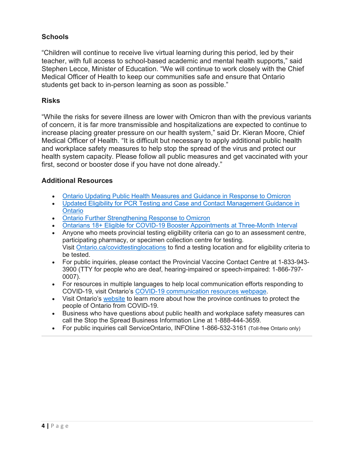#### **Schools**

 "Children will continue to receive live virtual learning during this period, led by their teacher, with full access to school-based academic and mental health supports," said Stephen Lecce, Minister of Education. "We will continue to work closely with the Chief Medical Officer of Health to keep our communities safe and ensure that Ontario students get back to in-person learning as soon as possible."

#### **Risks**

"While the risks for severe illness are lower with Omicron than with the previous variants of concern, it is far more transmissible and hospitalizations are expected to continue to increase placing greater pressure on our health system," said Dr. Kieran Moore, Chief Medical Officer of Health. "It is difficult but necessary to apply additional public health and workplace safety measures to help stop the spread of the virus and protect our health system capacity. Please follow all public measures and get vaccinated with your first, second or booster dose if you have not done already."

#### **Additional Resources**

- [Ontario Updating Public Health Measures and Guidance in Response to Omicron](https://news.ontario.ca/en/release/1001386/ontario-updating-public-health-measures-and-guidance-in-response-to-omicron)
- [Updated Eligibility for PCR Testing and Case and Contact Management Guidance in](https://news.ontario.ca/en/backgrounder/1001387/updated-eligibility-for-pcr-testing-and-case-and-contact-management-guidance-in-ontario) Ontario
- [Ontario Further Strengthening Response to Omicron](https://news.ontario.ca/en/release/1001366/ontario-further-strengthening-response-to-omicron)
- [Ontarians 18+ Eligible for COVID-19 Booster Appointments at Three-Month Interval](https://news.ontario.ca/en/release/1001352/all-ontarians-18-eligible-for-covid-19-booster-appointments-at-three-month-interval)
- Anyone who meets provincial testing eligibility criteria can go to an assessment centre, participating pharmacy, or specimen collection centre for testing. Visit <u>Ontario.ca/covidtestinglocations</u> to find a testing location and for eligibility criteria to be tested.
- For public inquiries, please contact the Provincial Vaccine Contact Centre at 1-833-943- 3900 (TTY for people who are deaf, hearing-impaired or speech-impaired: 1-866-797- 0007).
- For resources in multiple languages to help local communication efforts responding to COVID-19, visit Ontario's [COVID-19 communication resources webpage.](https://www.ontario.ca/page/covid-19-communication-resources)
- Visit Ontario's [website](https://covid-19.ontario.ca/) to learn more about how the province continues to protect the people of Ontario from COVID-19.
- Business who have questions about public health and workplace safety measures can call the Stop the Spread Business Information Line at 1-888-444-3659.
- For public inquiries call ServiceOntario, INFOline 1-866-532-3161 (Toll-free Ontario only)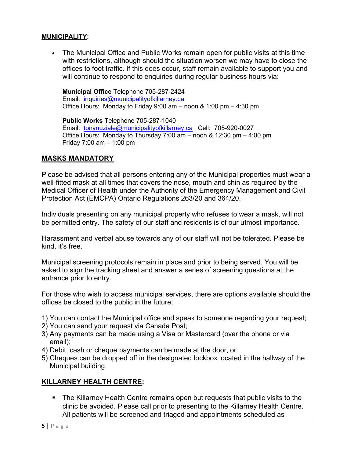#### **MUNICIPALITY:**

• with restrictions, although should the situation worsen we may have to close the The Municipal Office and Public Works remain open for public visits at this time offices to foot traffic. If this does occur, staff remain available to support you and will continue to respond to enquiries during regular business hours via:

 **Municipal Office** Telephone 705-287-2424 Email: inquiries@municipalityofkillarney.ca Office Hours: Monday to Friday 9:00 am – noon & 1:00 pm – 4:30 pm

 **Public Works** Telephone 705-287-1040 Email: <u>tonynuziale@municipalityofkillarney.ca</u> Cell: 705-920-0027 Office Hours: Monday to Thursday 7:00 am – noon & 12:30 pm – 4:00 pm Friday 7:00 am – 1:00 pm

#### **MASKS MANDATORY**

 Please be advised that all persons entering any of the Municipal properties must wear a well-fitted mask at all times that covers the nose, mouth and chin as required by the Medical Officer of Health under the Authority of the Emergency Management and Civil Protection Act (EMCPA) Ontario Regulations 263/20 and 364/20.

Individuals presenting on any municipal property who refuses to wear a mask, will not be permitted entry. The safety of our staff and residents is of our utmost importance.

 Harassment and verbal abuse towards any of our staff will not be tolerated. Please be kind, it's free.

 asked to sign the tracking sheet and answer a series of screening questions at the Municipal screening protocols remain in place and prior to being served. You will be entrance prior to entry.

For those who wish to access municipal services, there are options available should the offices be closed to the public in the future;

- 1) You can contact the Municipal office and speak to someone regarding your request;
- 2) You can send your request via Canada Post;
- 3) Any payments can be made using a Visa or Mastercard (over the phone or via email);
- 4) Debit, cash or cheque payments can be made at the door, or
- 5) Cheques can be dropped off in the designated lockbox located in the hallway of the Municipal building.

#### **KILLARNEY HEALTH CENTRE:**

**The Killarney Health Centre remains open but requests that public visits to the** clinic be avoided. Please call prior to presenting to the Killarney Health Centre. All patients will be screened and triaged and appointments scheduled as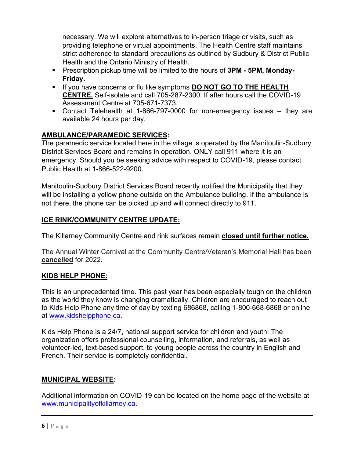providing telephone or virtual appointments. The Health Centre staff maintains Health and the Ontario Ministry of Health. necessary. We will explore alternatives to in-person triage or visits, such as strict adherence to standard precautions as outlined by Sudbury & District Public

- **E** Prescription pickup time will be limited to the hours of **3PM 5PM, Monday-Friday.**
- **E** If you have concerns or flu like symptoms **DO NOT GO TO THE HEALTH** Assessment Centre at 705-671-7373. **CENTRE.** Self-isolate and call 705-287-2300. If after hours call the COVID-19
- Assessment Centre at 705-671-7373.<br>Contact Telehealth at 1-866-797-0000 for non-emergency issues they are available 24 hours per day.

#### **AMBULANCE/PARAMEDIC SERVICES:**

 District Services Board and remains in operation. ONLY call 911 where it is an The paramedic service located here in the village is operated by the Manitoulin-Sudbury emergency. Should you be seeking advice with respect to COVID-19, please contact Public Health at 1-866-522-9200.

Manitoulin-Sudbury District Services Board recently notified the Municipality that they will be installing a yellow phone outside on the Ambulance building. If the ambulance is not there, the phone can be picked up and will connect directly to 911.

#### **ICE RINK/COMMUNITY CENTRE UPDATE:**

The Killarney Community Centre and rink surfaces remain **closed until further notice.** 

The Annual Winter Carnival at the Community Centre/Veteran's Memorial Hall has been **cancelled** for 2022.

#### **KIDS HELP PHONE:**

 This is an unprecedented time. This past year has been especially tough on the children as the world they know is changing dramatically. Children are encouraged to reach out to Kids Help Phone any time of day by texting 686868, calling 1-800-668-6868 or online at [www.kidshelpphone.ca.](http://www.kidshelpphone.ca/)

 Kids Help Phone is a 24/7, national support service for children and youth. The volunteer-led, text-based support, to young people across the country in English and organization offers professional counselling, information, and referrals, as well as French. Their service is completely confidential.

#### **MUNICIPAL WEBSITE:**

 [www.municipalityofkillarney.ca.](http://www.municipalityofkillarney.ca/) Additional information on COVID-19 can be located on the home page of the website at